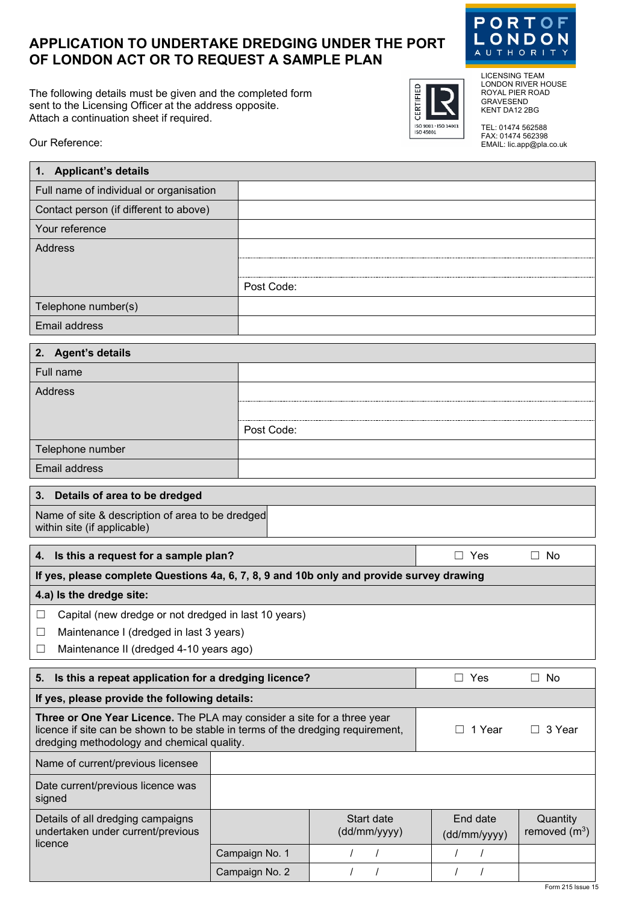## **APPLICATION TO UNDERTAKE DREDGING UNDER THE PORT OF LONDON ACT OR TO REQUEST A SAMPLE PLAN**

The following details must be given and the completed form sent to the Licensing Officer at the address opposite. Attach a continuation sheet if required.



LICENSING TEAM LONDON RIVER HOUSE ROYAL PIER ROAD GRAVESEND KENT DA12 2BG

CERTIFIED

ISO 9001 - ISO 14001<br>ISO 45001

TEL: 01474 562588 FAX: 01474 562398 EMAIL: lic.app@pla.co.uk

Our Reference:

| 1. Applicant's details                                                                                                                                   |            |                            |                          |                             |
|----------------------------------------------------------------------------------------------------------------------------------------------------------|------------|----------------------------|--------------------------|-----------------------------|
| Full name of individual or organisation                                                                                                                  |            |                            |                          |                             |
| Contact person (if different to above)                                                                                                                   |            |                            |                          |                             |
| Your reference                                                                                                                                           |            |                            |                          |                             |
| <b>Address</b>                                                                                                                                           |            |                            |                          |                             |
|                                                                                                                                                          |            |                            |                          |                             |
|                                                                                                                                                          | Post Code: |                            |                          |                             |
| Telephone number(s)                                                                                                                                      |            |                            |                          |                             |
| <b>Email address</b>                                                                                                                                     |            |                            |                          |                             |
| 2. Agent's details                                                                                                                                       |            |                            |                          |                             |
| Full name                                                                                                                                                |            |                            |                          |                             |
| <b>Address</b>                                                                                                                                           |            |                            |                          |                             |
|                                                                                                                                                          |            |                            |                          |                             |
|                                                                                                                                                          | Post Code: |                            |                          |                             |
| Telephone number                                                                                                                                         |            |                            |                          |                             |
| Email address                                                                                                                                            |            |                            |                          |                             |
|                                                                                                                                                          |            |                            |                          |                             |
| Details of area to be dredged<br>3.                                                                                                                      |            |                            |                          |                             |
| Name of site & description of area to be dredged<br>within site (if applicable)                                                                          |            |                            |                          |                             |
| 4. Is this a request for a sample plan?                                                                                                                  |            |                            | $\Box$ Yes               | $\Box$ No                   |
| If yes, please complete Questions 4a, 6, 7, 8, 9 and 10b only and provide survey drawing                                                                 |            |                            |                          |                             |
| 4.a) Is the dredge site:                                                                                                                                 |            |                            |                          |                             |
| Capital (new dredge or not dredged in last 10 years)<br>⊔                                                                                                |            |                            |                          |                             |
| Maintenance I (dredged in last 3 years)<br>⊔                                                                                                             |            |                            |                          |                             |
| Maintenance II (dredged 4-10 years ago)<br>$\Box$                                                                                                        |            |                            |                          |                             |
| Is this a repeat application for a dredging licence?<br>5.                                                                                               |            |                            | $\Box$ Yes               | $\Box$ No                   |
| If yes, please provide the following details:                                                                                                            |            |                            |                          |                             |
| Three or One Year Licence. The PLA may consider a site for a three year                                                                                  |            |                            |                          |                             |
| licence if site can be shown to be stable in terms of the dredging requirement,<br>1 Year<br>П.<br>$\perp$<br>dredging methodology and chemical quality. |            |                            | 3 Year                   |                             |
| Name of current/previous licensee                                                                                                                        |            |                            |                          |                             |
| Date current/previous licence was<br>signed                                                                                                              |            |                            |                          |                             |
| Details of all dredging campaigns<br>undertaken under current/previous                                                                                   |            | Start date<br>(dd/mm/yyyy) | End date<br>(dd/mm/yyyy) | Quantity<br>removed $(m^3)$ |
| licence                                                                                                                                                  |            |                            |                          |                             |

Campaign No. 1 | / / / | / / Campaign No. 2 | / / / | / /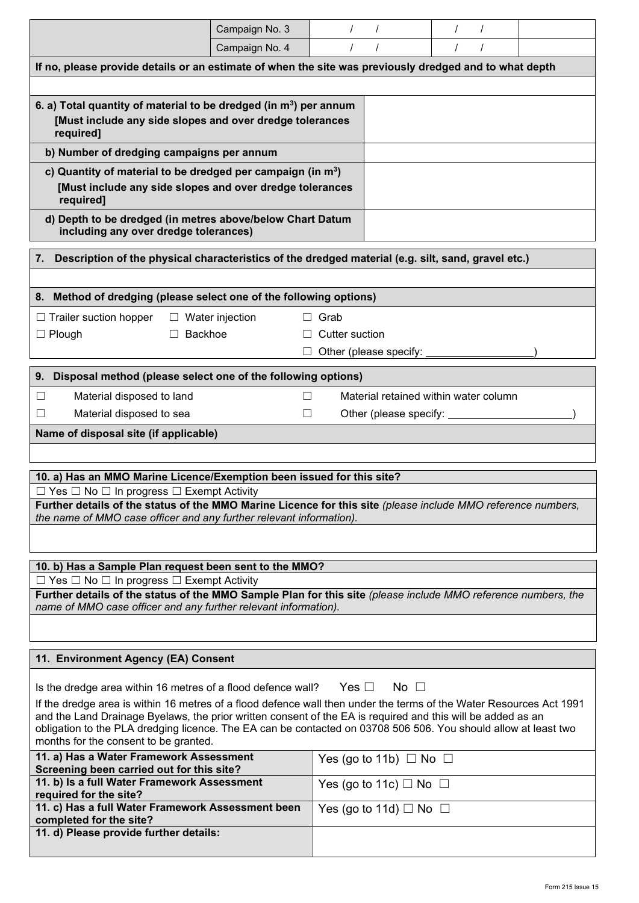|                                                                                                                                                                                  | Campaign No. 3                      | $\prime$              | $\prime$               | $\prime$<br>$\prime$                  |  |
|----------------------------------------------------------------------------------------------------------------------------------------------------------------------------------|-------------------------------------|-----------------------|------------------------|---------------------------------------|--|
|                                                                                                                                                                                  | Campaign No. 4                      |                       | $\prime$               | $\prime$                              |  |
| If no, please provide details or an estimate of when the site was previously dredged and to what depth                                                                           |                                     |                       |                        |                                       |  |
|                                                                                                                                                                                  |                                     |                       |                        |                                       |  |
| 6. a) Total quantity of material to be dredged (in m <sup>3</sup> ) per annum<br>[Must include any side slopes and over dredge tolerances<br>required]                           |                                     |                       |                        |                                       |  |
| b) Number of dredging campaigns per annum                                                                                                                                        |                                     |                       |                        |                                       |  |
| c) Quantity of material to be dredged per campaign (in $m3$ )<br>[Must include any side slopes and over dredge tolerances<br>required]                                           |                                     |                       |                        |                                       |  |
| d) Depth to be dredged (in metres above/below Chart Datum<br>including any over dredge tolerances)                                                                               |                                     |                       |                        |                                       |  |
| Description of the physical characteristics of the dredged material (e.g. silt, sand, gravel etc.)<br>7.                                                                         |                                     |                       |                        |                                       |  |
|                                                                                                                                                                                  |                                     |                       |                        |                                       |  |
| 8. Method of dredging (please select one of the following options)                                                                                                               |                                     |                       |                        |                                       |  |
|                                                                                                                                                                                  |                                     |                       |                        |                                       |  |
| $\Box$ Trailer suction hopper                                                                                                                                                    | $\Box$ Water injection              | Grab<br>ш             |                        |                                       |  |
| Backhoe<br>$\Box$ Plough<br>$\Box$                                                                                                                                               |                                     | <b>Cutter suction</b> |                        |                                       |  |
|                                                                                                                                                                                  |                                     |                       | Other (please specify: |                                       |  |
| 9. Disposal method (please select one of the following options)                                                                                                                  |                                     |                       |                        |                                       |  |
| Material disposed to land<br>$\Box$                                                                                                                                              |                                     |                       |                        | Material retained within water column |  |
| Material disposed to sea<br>$\mathsf{L}$                                                                                                                                         | П                                   |                       |                        | Other (please specify: _______        |  |
| Name of disposal site (if applicable)                                                                                                                                            |                                     |                       |                        |                                       |  |
|                                                                                                                                                                                  |                                     |                       |                        |                                       |  |
|                                                                                                                                                                                  |                                     |                       |                        |                                       |  |
| 10. a) Has an MMO Marine Licence/Exemption been issued for this site?                                                                                                            |                                     |                       |                        |                                       |  |
| $\Box$ Yes $\Box$ No $\Box$ In progress $\Box$ Exempt Activity<br>Further details of the status of the MMO Marine Licence for this site (please include MMO reference numbers,   |                                     |                       |                        |                                       |  |
| the name of MMO case officer and any further relevant information).                                                                                                              |                                     |                       |                        |                                       |  |
|                                                                                                                                                                                  |                                     |                       |                        |                                       |  |
| 10. b) Has a Sample Plan request been sent to the MMO?                                                                                                                           |                                     |                       |                        |                                       |  |
| $\Box$ Yes $\Box$ No $\Box$ In progress $\Box$ Exempt Activity                                                                                                                   |                                     |                       |                        |                                       |  |
| Further details of the status of the MMO Sample Plan for this site (please include MMO reference numbers, the<br>name of MMO case officer and any further relevant information). |                                     |                       |                        |                                       |  |
|                                                                                                                                                                                  |                                     |                       |                        |                                       |  |
|                                                                                                                                                                                  | 11. Environment Agency (EA) Consent |                       |                        |                                       |  |
| Is the dredge area within 16 metres of a flood defence wall?                                                                                                                     |                                     | Yes $\Box$            | No $\square$           |                                       |  |
| If the dredge area is within 16 metres of a flood defence wall then under the terms of the Water Resources Act 1991                                                              |                                     |                       |                        |                                       |  |
| and the Land Drainage Byelaws, the prior written consent of the EA is required and this will be added as an                                                                      |                                     |                       |                        |                                       |  |
| obligation to the PLA dredging licence. The EA can be contacted on 03708 506 506. You should allow at least two<br>months for the consent to be granted.                         |                                     |                       |                        |                                       |  |
| 11. a) Has a Water Framework Assessment<br>Yes (go to 11b) $\Box$ No $\Box$                                                                                                      |                                     |                       |                        |                                       |  |
| Screening been carried out for this site?                                                                                                                                        |                                     |                       |                        |                                       |  |
| 11. b) Is a full Water Framework Assessment<br>Yes (go to 11c) $\Box$ No $\Box$<br>required for the site?                                                                        |                                     |                       |                        |                                       |  |
| 11. c) Has a full Water Framework Assessment been<br>Yes (go to 11d) $\Box$ No $\Box$<br>completed for the site?                                                                 |                                     |                       |                        |                                       |  |
| 11. d) Please provide further details:                                                                                                                                           |                                     |                       |                        |                                       |  |
|                                                                                                                                                                                  |                                     |                       |                        |                                       |  |